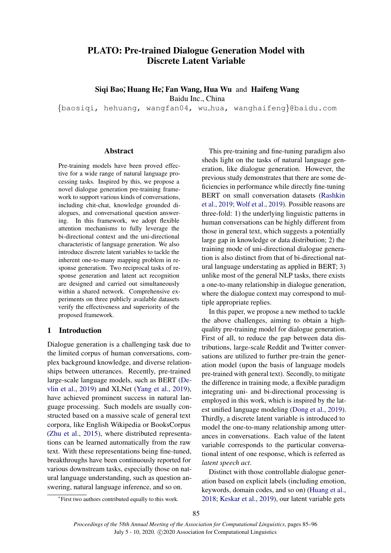# PLATO: Pre-trained Dialogue Generation Model with Discrete Latent Variable

Siqi Bao; Huang He; Fan Wang, Hua Wu and Haifeng Wang

Baidu Inc., China

{baosiqi, hehuang, wangfan04, wu hua, wanghaifeng}@baidu.com

#### Abstract

Pre-training models have been proved effective for a wide range of natural language processing tasks. Inspired by this, we propose a novel dialogue generation pre-training framework to support various kinds of conversations, including chit-chat, knowledge grounded dialogues, and conversational question answering. In this framework, we adopt flexible attention mechanisms to fully leverage the bi-directional context and the uni-directional characteristic of language generation. We also introduce discrete latent variables to tackle the inherent one-to-many mapping problem in response generation. Two reciprocal tasks of response generation and latent act recognition are designed and carried out simultaneously within a shared network. Comprehensive experiments on three publicly available datasets verify the effectiveness and superiority of the proposed framework.

# 1 Introduction

Dialogue generation is a challenging task due to the limited corpus of human conversations, complex background knowledge, and diverse relationships between utterances. Recently, pre-trained large-scale language models, such as BERT [\(De](#page-8-0)[vlin et al.,](#page-8-0) [2019\)](#page-8-0) and XLNet [\(Yang et al.,](#page-9-0) [2019\)](#page-9-0), have achieved prominent success in natural language processing. Such models are usually constructed based on a massive scale of general text corpora, like English Wikipedia or BooksCorpus [\(Zhu et al.,](#page-10-0) [2015\)](#page-10-0), where distributed representations can be learned automatically from the raw text. With these representations being fine-tuned, breakthroughs have been continuously reported for various downstream tasks, especially those on natural language understanding, such as question answering, natural language inference, and so on.

This pre-training and fine-tuning paradigm also sheds light on the tasks of natural language generation, like dialogue generation. However, the previous study demonstrates that there are some deficiencies in performance while directly fine-tuning BERT on small conversation datasets [\(Rashkin](#page-9-1) [et al.,](#page-9-1) [2019;](#page-9-1) [Wolf et al.,](#page-9-2) [2019\)](#page-9-2). Possible reasons are three-fold: 1) the underlying linguistic patterns in human conversations can be highly different from those in general text, which suggests a potentially large gap in knowledge or data distribution; 2) the training mode of uni-directional dialogue generation is also distinct from that of bi-directional natural language understating as applied in BERT; 3) unlike most of the general NLP tasks, there exists a one-to-many relationship in dialogue generation, where the dialogue context may correspond to multiple appropriate replies.

In this paper, we propose a new method to tackle the above challenges, aiming to obtain a highquality pre-training model for dialogue generation. First of all, to reduce the gap between data distributions, large-scale Reddit and Twitter conversations are utilized to further pre-train the generation model (upon the basis of language models pre-trained with general text). Secondly, to mitigate the difference in training mode, a flexible paradigm integrating uni- and bi-directional processing is employed in this work, which is inspired by the latest unified language modeling [\(Dong et al.,](#page-8-1) [2019\)](#page-8-1). Thirdly, a discrete latent variable is introduced to model the one-to-many relationship among utterances in conversations. Each value of the latent variable corresponds to the particular conversational intent of one response, which is referred as *latent speech act*.

Distinct with those controllable dialogue generation based on explicit labels (including emotion, keywords, domain codes, and so on) [\(Huang et al.,](#page-9-3) [2018;](#page-9-3) [Keskar et al.,](#page-9-4) [2019\)](#page-9-4), our latent variable gets

<sup>∗</sup> First two authors contributed equally to this work.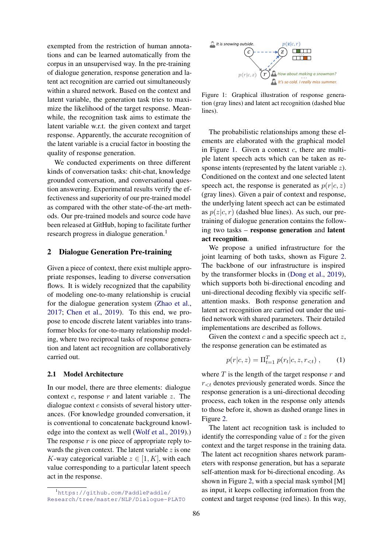exempted from the restriction of human annotations and can be learned automatically from the corpus in an unsupervised way. In the pre-training of dialogue generation, response generation and latent act recognition are carried out simultaneously within a shared network. Based on the context and latent variable, the generation task tries to maximize the likelihood of the target response. Meanwhile, the recognition task aims to estimate the latent variable w.r.t. the given context and target response. Apparently, the accurate recognition of the latent variable is a crucial factor in boosting the quality of response generation.

We conducted experiments on three different kinds of conversation tasks: chit-chat, knowledge grounded conversation, and conversational question answering. Experimental results verify the effectiveness and superiority of our pre-trained model as compared with the other state-of-the-art methods. Our pre-trained models and source code have been released at GitHub, hoping to facilitate further research progress in dialogue generation.<sup>1</sup>

### 2 Dialogue Generation Pre-training

Given a piece of context, there exist multiple appropriate responses, leading to diverse conversation flows. It is widely recognized that the capability of modeling one-to-many relationship is crucial for the dialogue generation system [\(Zhao et al.,](#page-10-1) [2017;](#page-10-1) [Chen et al.,](#page-8-2) [2019\)](#page-8-2). To this end, we propose to encode discrete latent variables into transformer blocks for one-to-many relationship modeling, where two reciprocal tasks of response generation and latent act recognition are collaboratively carried out.

#### 2.1 Model Architecture

In our model, there are three elements: dialogue context  $c$ , response  $r$  and latent variable  $z$ . The dialogue context  $c$  consists of several history utterances. (For knowledge grounded conversation, it is conventional to concatenate background knowledge into the context as well [\(Wolf et al.,](#page-9-2) [2019\)](#page-9-2).) The response  $r$  is one piece of appropriate reply towards the given context. The latent variable  $z$  is one K-way categorical variable  $z \in [1, K]$ , with each value corresponding to a particular latent speech act in the response.

<span id="page-1-0"></span>

Figure 1: Graphical illustration of response generation (gray lines) and latent act recognition (dashed blue lines).

The probabilistic relationships among these elements are elaborated with the graphical model in Figure [1.](#page-1-0) Given a context  $c$ , there are multiple latent speech acts which can be taken as response intents (represented by the latent variable z). Conditioned on the context and one selected latent speech act, the response is generated as  $p(r|c, z)$ (gray lines). Given a pair of context and response, the underlying latent speech act can be estimated as  $p(z|c, r)$  (dashed blue lines). As such, our pretraining of dialogue generation contains the following two tasks – response generation and latent act recognition.

We propose a unified infrastructure for the joint learning of both tasks, shown as Figure [2.](#page-2-0) The backbone of our infrastructure is inspired by the transformer blocks in [\(Dong et al.,](#page-8-1) [2019\)](#page-8-1), which supports both bi-directional encoding and uni-directional decoding flexibly via specific selfattention masks. Both response generation and latent act recognition are carried out under the unified network with shared parameters. Their detailed implementations are described as follows.

Given the context  $c$  and a specific speech act  $z$ , the response generation can be estimated as

$$
p(r|c, z) = \Pi_{t=1}^{T} p(r_t|c, z, r_{< t}), \qquad (1)
$$

where  $T$  is the length of the target response  $r$  and  $r_{\leq t}$  denotes previously generated words. Since the response generation is a uni-directional decoding process, each token in the response only attends to those before it, shown as dashed orange lines in Figure [2.](#page-2-0)

The latent act recognition task is included to identify the corresponding value of  $z$  for the given context and the target response in the training data. The latent act recognition shares network parameters with response generation, but has a separate self-attention mask for bi-directional encoding. As shown in Figure [2,](#page-2-0) with a special mask symbol [M] as input, it keeps collecting information from the context and target response (red lines). In this way,

<sup>1</sup>[https://github.com/PaddlePaddle/](https://github.com/PaddlePaddle/Research/tree/master/NLP/Dialogue-PLATO) [Research/tree/master/NLP/Dialogue-PLATO](https://github.com/PaddlePaddle/Research/tree/master/NLP/Dialogue-PLATO)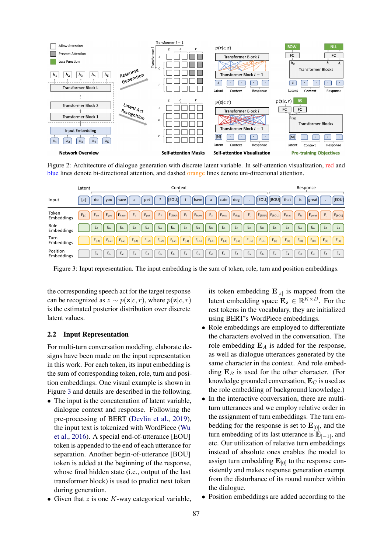<span id="page-2-0"></span>

Figure 2: Architecture of dialogue generation with discrete latent variable. In self-attention visualization, red and blue lines denote bi-directional attention, and dashed orange lines denote uni-directional attention.

<span id="page-2-1"></span>

|                        | Latent                | Context                                                                                                                                                                                                                                                        | Response                                                                                               |
|------------------------|-----------------------|----------------------------------------------------------------------------------------------------------------------------------------------------------------------------------------------------------------------------------------------------------------|--------------------------------------------------------------------------------------------------------|
| Input                  | [z]<br>do             | dog<br> [EOU] [BOU] <br>[EOU]<br>cute<br>have<br>$\mathsf{a}$<br>pet<br>have  <br>vou<br>a                                                                                                                                                                     | [EOU]<br>that<br>is<br>great                                                                           |
| Token<br>Embeddings    | $E_{[z]}$<br>$E_{do}$ | $\mathsf{E}_{\mathsf{dog}}$<br>E <sub>2</sub><br>$E_a$<br>$\mathsf{E}_{\mathsf{cute}}$<br>$E_{\rm c}$<br>$E_a$<br>$E_i$<br>Ehave<br>$E_{[EOU]}$ $E_{[BOU]}$<br>$E_{\text{pet}}$<br>$E_{[EOU]}$<br>E <sub>have</sub><br>$E_{\text{vou}}$                        | $E_{is}$<br>$\blacksquare$   E <sub>great</sub>   ,<br>$E_{[EOU]}$<br>$E_{\text{that}}$<br>$E_{\rm c}$ |
| Role<br>Embeddings     | $E_A$                 | $E_A$<br>$E_B$<br>$E_B$<br>$E_A$<br>$E_A$<br>$E_B$<br>$E_B$<br>$E_B$<br>$E_B$<br>$E_B$<br>$E_A$<br>$E_A$<br>$E_A$                                                                                                                                              | $E_A$<br>$E_A$<br>$E_A$<br>$E_A$<br>$E_A$<br>$E_A$                                                     |
| Turn<br>Embeddings     | $E_{[-2]}$            | $E_{[-2]}$<br>$\mathsf{E}_{\left[ \text{-1}\right] }$<br>$E_{[-1]}$<br>$\mathsf{E}_{\left[ \text{-1}\right] }$<br>$E_{[-2]}$<br>$E_{[-2]}$<br>$\mathsf{E}_{[-2]}$<br>$E_{[-1]}$<br>$E_{[-1]}$<br>$E_{[-1]}$<br>$\mathsf{E}_{[-1]}$<br>$E_{[-2]}$<br>$E_{[-2]}$ | $E_{[0]}$<br>$E_{[0]}$<br>$E_{[0]}$<br>$E_{[0]}$<br>$E_{[0]}$<br>$E_{[0]}$                             |
| Position<br>Embeddings | $E_0$                 | E <sub>5</sub><br>$E_0$<br>E <sub>3</sub><br>E <sub>2</sub><br>E <sub>5</sub><br>$E_6$<br>$E_4$<br>$E_6$<br>$E_1$<br>E <sub>2</sub><br>$E_4$<br>$E_1$<br>E <sub>3</sub>                                                                                        | $E_1$<br>E <sub>3</sub><br>$E_4$<br>$E_0$<br>E <sub>2</sub><br>E <sub>5</sub>                          |

Figure 3: Input representation. The input embedding is the sum of token, role, turn and position embeddings.

the corresponding speech act for the target response can be recognized as  $z \sim p(\mathbf{z}|c, r)$ , where  $p(\mathbf{z}|c, r)$ is the estimated posterior distribution over discrete latent values.

# 2.2 Input Representation

For multi-turn conversation modeling, elaborate designs have been made on the input representation in this work. For each token, its input embedding is the sum of corresponding token, role, turn and position embeddings. One visual example is shown in Figure [3](#page-2-1) and details are described in the following.

• The input is the concatenation of latent variable, dialogue context and response. Following the pre-processing of BERT [\(Devlin et al.,](#page-8-0) [2019\)](#page-8-0), the input text is tokenized with WordPiece [\(Wu](#page-9-5) [et al.,](#page-9-5) [2016\)](#page-9-5). A special end-of-utterance [EOU] token is appended to the end of each utterance for separation. Another begin-of-utterance [BOU] token is added at the beginning of the response, whose final hidden state (i.e., output of the last transformer block) is used to predict next token during generation.

its token embedding  $\mathbf{E}_{[z]}$  is mapped from the latent embedding space  $\mathbf{E}_{z} \in \mathbb{R}^{K \times D}$ . For the rest tokens in the vocabulary, they are initialized using BERT's WordPiece embeddings.

- Role embeddings are employed to differentiate the characters evolved in the conversation. The role embedding  $E_A$  is added for the response, as well as dialogue utterances generated by the same character in the context. And role embedding  $E_B$  is used for the other character. (For knowledge grounded conversation,  $\mathbf{E}_C$  is used as the role embedding of background knowledge.)
- In the interactive conversation, there are multiturn utterances and we employ relative order in the assignment of turn embeddings. The turn embedding for the response is set to  $\mathbf{E}_{[0]}$ , and the turn embedding of its last utterance is  $E_{[-1]}$ , and etc. Our utilization of relative turn embeddings instead of absolute ones enables the model to assign turn embedding  $\mathbf{E}_{[0]}$  to the response consistently and makes response generation exempt from the disturbance of its round number within the dialogue.
- Given that  $z$  is one  $K$ -way categorical variable,
- Position embeddings are added according to the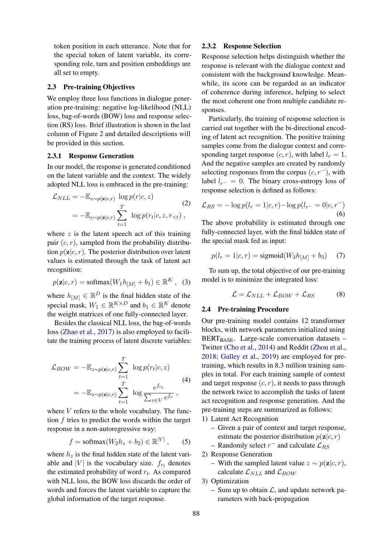token position in each utterance. Note that for the special token of latent variable, its corresponding role, turn and position embeddings are all set to empty.

### 2.3 Pre-training Objectives

We employ three loss functions in dialogue generation pre-training: negative log-likelihood (NLL) loss, bag-of-words (BOW) loss and response selection (RS) loss. Brief illustration is shown in the last column of Figure [2](#page-2-0) and detailed descriptions will be provided in this section.

### 2.3.1 Response Generation

In our model, the response is generated conditioned on the latent variable and the context. The widely adopted NLL loss is embraced in the pre-training:

$$
\mathcal{L}_{NLL} = -\mathbb{E}_{z \sim p(\mathbf{z}|c,r)} \log p(r|c, z)
$$
\n
$$
= -\mathbb{E}_{z \sim p(\mathbf{z}|c,r)} \sum_{t=1}^{T} \log p(r_t|c, z, r_{< t}),
$$
\n(2)

where  $z$  is the latent speech act of this training pair  $(c, r)$ , sampled from the probability distribution  $p(\mathbf{z}|c, r)$ . The posterior distribution over latent values is estimated through the task of latent act recognition:

$$
p(\mathbf{z}|c,r) = \text{softmax}(W_1 h_{[M]} + b_1) \in \mathbb{R}^K, \quad (3)
$$

where  $h_{[M]} \in \mathbb{R}^D$  is the final hidden state of the special mask,  $W_1 \in \mathbb{R}^{K \times D}$  and  $b_1 \in \mathbb{R}^K$  denote the weight matrices of one fully-connected layer.

Besides the classical NLL loss, the bag-of-words loss [\(Zhao et al.,](#page-10-1) [2017\)](#page-10-1) is also employed to facilitate the training process of latent discrete variables:

$$
\mathcal{L}_{BOW} = -\mathbb{E}_{z \sim p(\mathbf{z}|c,r)} \sum_{t=1}^{T} \log p(r_t|c, z)
$$
\n
$$
= -\mathbb{E}_{z \sim p(\mathbf{z}|c,r)} \sum_{t=1}^{T} \log \frac{e^{f_{rt}}}{\sum_{v \in V} e^{f_v}},
$$
\n(4)

where  $V$  refers to the whole vocabulary. The function  $f$  tries to predict the words within the target response in a non-autoregressive way:

$$
f = \text{softmax}(W_2 h_z + b_2) \in \mathbb{R}^{|V|},\qquad(5)
$$

where  $h_z$  is the final hidden state of the latent variable and |V| is the vocabulary size.  $f_{r_t}$  denotes the estimated probability of word  $r_t$ . As compared with NLL loss, the BOW loss discards the order of words and forces the latent variable to capture the global information of the target response.

# 2.3.2 Response Selection

Response selection helps distinguish whether the response is relevant with the dialogue context and consistent with the background knowledge. Meanwhile, its score can be regarded as an indicator of coherence during inference, helping to select the most coherent one from multiple candidate responses.

Particularly, the training of response selection is carried out together with the bi-directional encoding of latent act recognition. The positive training samples come from the dialogue context and corresponding target response  $(c, r)$ , with label  $l_r = 1$ . And the negative samples are created by randomly selecting responses from the corpus  $(c, r<sup>-</sup>)$ , with label  $l_{r-} = 0$ . The binary cross-entropy loss of response selection is defined as follows:

$$
\mathcal{L}_{RS} = -\log p(l_r = 1|c, r) - \log p(l_{r-} = 0|c, r^{-})
$$
\n(6)

The above probability is estimated through one fully-connected layer, with the final hidden state of the special mask fed as input:

$$
p(l_r = 1|c, r) = \text{sigmoid}(W_3 h_{[M]} + b_3) \tag{7}
$$

To sum up, the total objective of our pre-training model is to minimize the integrated loss:

<span id="page-3-0"></span>
$$
\mathcal{L} = \mathcal{L}_{NLL} + \mathcal{L}_{BOW} + \mathcal{L}_{RS} \tag{8}
$$

#### 2.4 Pre-training Procedure

Our pre-training model contains 12 transformer blocks, with network parameters initialized using BERT $_{BASE}$ . Large-scale conversation datasets – Twitter [\(Cho et al.,](#page-8-3) [2014\)](#page-8-3) and Reddit [\(Zhou et al.,](#page-10-2) [2018;](#page-10-2) [Galley et al.,](#page-9-6) [2019\)](#page-9-6) are employed for pretraining, which results in 8.3 million training samples in total. For each training sample of context and target response  $(c, r)$ , it needs to pass through the network twice to accomplish the tasks of latent act recognition and response generation. And the pre-training steps are summarized as follows:

- 1) Latent Act Recognition
	- Given a pair of context and target response, estimate the posterior distribution  $p(\mathbf{z}|c, r)$
	- Randomly select  $r^-$  and calculate  $\mathcal{L}_{RS}$
- 2) Response Generation
	- With the sampled latent value  $z \sim p(\mathbf{z}|c, r)$ , calculate  $\mathcal{L}_{NLL}$  and  $\mathcal{L}_{BOW}$

3) Optimization

– Sum up to obtain  $\mathcal{L}$ , and update network parameters with back-propagation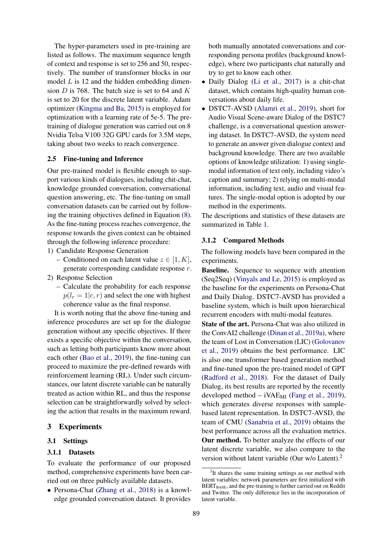The hyper-parameters used in pre-training are listed as follows. The maximum sequence length of context and response is set to 256 and 50, respectively. The number of transformer blocks in our model  $L$  is 12 and the hidden embedding dimension D is 768. The batch size is set to 64 and  $K$ is set to 20 for the discrete latent variable. Adam optimizer [\(Kingma and Ba,](#page-9-7) [2015\)](#page-9-7) is employed for optimization with a learning rate of 5e-5. The pretraining of dialogue generation was carried out on 8 Nvidia Telsa V100 32G GPU cards for 3.5M steps, taking about two weeks to reach convergence.

### 2.5 Fine-tuning and Inference

Our pre-trained model is flexible enough to support various kinds of dialogues, including chit-chat, knowledge grounded conversation, conversational question answering, etc. The fine-tuning on small conversation datasets can be carried out by following the training objectives defined in Equation [\(8\)](#page-3-0). As the fine-tuning process reaches convergence, the response towards the given context can be obtained through the following inference procedure:

- 1) Candidate Response Generation
	- Conditioned on each latent value  $z \in [1, K]$ , generate corresponding candidate response r.
- 2) Response Selection
	- Calculate the probability for each response  $p(l_r = 1|c, r)$  and select the one with highest coherence value as the final response.

It is worth noting that the above fine-tuning and inference procedures are set up for the dialogue generation without any specific objectives. If there exists a specific objective within the conversation, such as letting both participants know more about each other [\(Bao et al.,](#page-8-4) [2019\)](#page-8-4), the fine-tuning can proceed to maximize the pre-defined rewards with reinforcement learning (RL). Under such circumstances, our latent discrete variable can be naturally treated as action within RL, and thus the response selection can be straightforwardly solved by selecting the action that results in the maximum reward.

### 3 Experiments

### 3.1 Settings

#### 3.1.1 Datasets

To evaluate the performance of our proposed method, comprehensive experiments have been carried out on three publicly available datasets.

• Persona-Chat [\(Zhang et al.,](#page-9-8) [2018\)](#page-9-8) is a knowledge grounded conversation dataset. It provides

both manually annotated conversations and corresponding persona profiles (background knowledge), where two participants chat naturally and try to get to know each other.

- Daily Dialog [\(Li et al.,](#page-9-9) [2017\)](#page-9-9) is a chit-chat dataset, which contains high-quality human conversations about daily life.
- DSTC7-AVSD [\(Alamri et al.,](#page-8-5) [2019\)](#page-8-5), short for Audio Visual Scene-aware Dialog of the DSTC7 challenge, is a conversational question answering dataset. In DSTC7-AVSD, the system need to generate an answer given dialogue context and background knowledge. There are two available options of knowledge utilization: 1) using singlemodal information of text only, including video's caption and summary; 2) relying on multi-modal information, including text, audio and visual features. The single-modal option is adopted by our method in the experiments.

The descriptions and statistics of these datasets are summarized in Table [1.](#page-5-0)

#### 3.1.2 Compared Methods

The following models have been compared in the experiments.

Baseline. Sequence to sequence with attention (Seq2Seq) [\(Vinyals and Le,](#page-9-10) [2015\)](#page-9-10) is employed as the baseline for the experiments on Persona-Chat and Daily Dialog. DSTC7-AVSD has provided a baseline system, which is built upon hierarchical recurrent encoders with multi-modal features.

State of the art. Persona-Chat was also utilized in the ConvAI2 challenge [\(Dinan et al.,](#page-8-6) [2019a\)](#page-8-6), where the team of Lost in Conversation (LIC) [\(Golovanov](#page-9-11) [et al.,](#page-9-11) [2019\)](#page-9-11) obtains the best performance. LIC is also one transformer based generation method and fine-tuned upon the pre-trained model of GPT [\(Radford et al.,](#page-9-12) [2018\)](#page-9-12). For the dataset of Daily Dialog, its best results are reported by the recently developed method  $-$  iVAE<sub>MI</sub> [\(Fang et al.,](#page-9-13) [2019\)](#page-9-13), which generates diverse responses with samplebased latent representation. In DSTC7-AVSD, the team of CMU [\(Sanabria et al.,](#page-9-14) [2019\)](#page-9-14) obtains the best performance across all the evaluation metrics. Our method. To better analyze the effects of our latent discrete variable, we also compare to the version without latent variable (Our w/o Latent).<sup>2</sup>

<sup>&</sup>lt;sup>2</sup>It shares the same training settings as our method with latent variables: network parameters are first initialized with BERT<sub>BASE</sub>, and the pre-training is further carried out on Reddit and Twitter. The only difference lies in the incorporation of latent variable.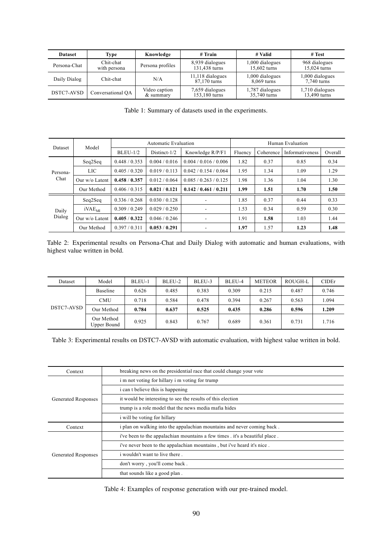<span id="page-5-0"></span>

| <b>Dataset</b> | Type                      | Knowledge                  |                                  | # Valid                           | # Test                          |
|----------------|---------------------------|----------------------------|----------------------------------|-----------------------------------|---------------------------------|
| Persona-Chat   | Chit-chat<br>with persona | Persona profiles           | 8,939 dialogues<br>131,438 turns | 1,000 dialogues<br>$15,602$ turns | 968 dialogues<br>15,024 turns   |
| Daily Dialog   | Chit-chat                 | N/A                        | 11,118 dialogues<br>87,170 turns | 1,000 dialogues<br>8,069 turns    | 1,000 dialogues<br>7,740 turns  |
| DSTC7-AVSD     | Conversational OA         | Video caption<br>& summary | 7,659 dialogues<br>153,180 turns | 1,787 dialogues<br>35,740 turns   | 1,710 dialogues<br>13,490 turns |

Table 1: Summary of datasets used in the experiments.

<span id="page-5-1"></span>

|                 | Model              | Automatic Evaluation |                 |                          | Human Evaluation |           |                 |         |
|-----------------|--------------------|----------------------|-----------------|--------------------------|------------------|-----------|-----------------|---------|
| Dataset         |                    | $BLEU-1/2$           | Distinct- $1/2$ | Knowledge R/P/F1         | Fluency          | Coherence | Informativeness | Overall |
|                 | Seq2Seq            | 0.448 / 0.353        | 0.004 / 0.016   | 0.004 / 0.016 / 0.006    | 1.82             | 0.37      | 0.85            | 0.34    |
| Persona-        | <b>LIC</b>         | 0.405 / 0.320        | 0.019 / 0.113   | 0.042 / 0.154 / 0.064    | 1.95             | 1.34      | 1.09            | 1.29    |
| Chat            | Our $w$ /o Latent  | 0.458 / 0.357        | 0.012 / 0.064   | 0.085/0.263/0.125        | 1.98             | 1.36      | 1.04            | 1.30    |
|                 | Our Method         | 0.406 / 0.315        | 0.021 / 0.121   | 0.142 / 0.461 / 0.211    | 1.99             | 1.51      | 1.70            | 1.50    |
|                 | Seq2Seq            | 0.336 / 0.268        | 0.030 / 0.128   |                          | 1.85             | 0.37      | 0.44            | 0.33    |
| Daily<br>Dialog | iVAE <sub>MI</sub> | 0.309 / 0.249        | 0.029 / 0.250   |                          | 1.53             | 0.34      | 0.59            | 0.30    |
|                 | Our w/o Latent     | 0.405/0.322          | 0.046 / 0.246   | $\overline{\phantom{a}}$ | 1.91             | 1.58      | 1.03            | 1.44    |
|                 | Our Method         | 0.397 / 0.311        | 0.053 / 0.291   |                          | 1.97             | 1.57      | 1.23            | 1.48    |

Table 2: Experimental results on Persona-Chat and Daily Dialog with automatic and human evaluations, with highest value written in bold.

<span id="page-5-2"></span>

| Dataset    | Model                     | BLEU-1 | BLEU-2 | BLEU-3 | BLEU-4 | <b>METEOR</b> | ROUGH-L | <b>CIDEr</b> |
|------------|---------------------------|--------|--------|--------|--------|---------------|---------|--------------|
| DSTC7-AVSD | Baseline                  | 0.626  | 0.485  | 0.383  | 0.309  | 0.215         | 0.487   | 0.746        |
|            | <b>CMU</b>                | 0.718  | 0.584  | 0.478  | 0.394  | 0.267         | 0.563   | 1.094        |
|            | Our Method                | 0.784  | 0.637  | 0.525  | 0.435  | 0.286         | 0.596   | 1.209        |
|            | Our Method<br>Upper Bound | 0.925  | 0.843  | 0.767  | 0.689  | 0.361         | 0.731   | 1.716        |

Table 3: Experimental results on DSTC7-AVSD with automatic evaluation, with highest value written in bold.

<span id="page-5-3"></span>

| Context                    | breaking news on the presidential race that could change your vote           |  |  |  |
|----------------------------|------------------------------------------------------------------------------|--|--|--|
|                            | i m not voting for hillary i m voting for trump                              |  |  |  |
|                            | <i>i</i> can t believe this is happening                                     |  |  |  |
| Generated Responses        | it would be interesting to see the results of this election                  |  |  |  |
|                            | trump is a role model that the news media mafia hides                        |  |  |  |
|                            | i will be voting for hillary                                                 |  |  |  |
| Context                    | i plan on walking into the appalachian mountains and never coming back.      |  |  |  |
|                            | i've been to the appalachian mountains a few times . it's a beautiful place. |  |  |  |
|                            | i've never been to the appalachian mountains, but i've heard it's nice.      |  |  |  |
| <b>Generated Responses</b> | i wouldn't want to live there.                                               |  |  |  |
|                            | don't worry, you'll come back.                                               |  |  |  |
|                            | that sounds like a good plan.                                                |  |  |  |

Table 4: Examples of response generation with our pre-trained model.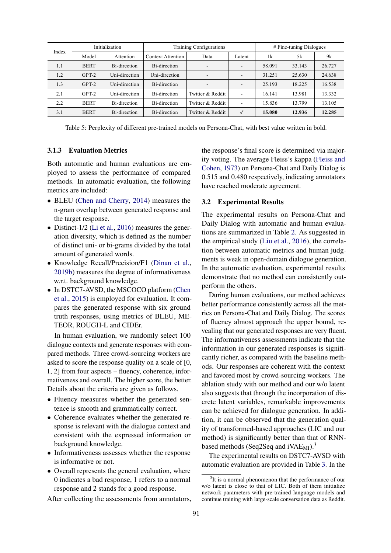<span id="page-6-0"></span>

| Index | Initialization |               | Training Configurations   |                          |              | $#$ Fine-tuning Dialogues |        |        |
|-------|----------------|---------------|---------------------------|--------------------------|--------------|---------------------------|--------|--------|
|       | Model          | Attention     | <b>Context Attention</b>  | Data                     | Latent       | 1k                        | 5k     | 9k     |
| 1.1   | <b>BERT</b>    | Bi-direction  | B <sub>i</sub> -direction | $\overline{\phantom{a}}$ |              | 58.091                    | 33.143 | 26.727 |
| 1.2   | $GPT-2$        | Uni-direction | Uni-direction             | $\overline{\phantom{a}}$ |              | 31.251                    | 25.630 | 24.638 |
| 1.3   | $GPT-2$        | Uni-direction | Bi-direction              | $\overline{\phantom{a}}$ |              | 25.193                    | 18.225 | 16.538 |
| 2.1   | $GPT-2$        | Uni-direction | Bi-direction              | Twitter & Reddit         |              | 16.141                    | 13.981 | 13.332 |
| 2.2   | <b>BERT</b>    | Bi-direction  | Bi-direction              | Twitter & Reddit         |              | 15.836                    | 13.799 | 13.105 |
| 3.1   | <b>BERT</b>    | Bi-direction  | B <sub>i</sub> -direction | Twitter & Reddit         | $\checkmark$ | 15.080                    | 12.936 | 12.285 |

Table 5: Perplexity of different pre-trained models on Persona-Chat, with best value written in bold.

### 3.1.3 Evaluation Metrics

Both automatic and human evaluations are employed to assess the performance of compared methods. In automatic evaluation, the following metrics are included:

- BLEU [\(Chen and Cherry,](#page-8-7) [2014\)](#page-8-7) measures the n-gram overlap between generated response and the target response.
- Distinct-1/2 [\(Li et al.,](#page-9-15) [2016\)](#page-9-15) measures the generation diversity, which is defined as the number of distinct uni- or bi-grams divided by the total amount of generated words.
- Knowledge Recall/Precision/F1 [\(Dinan et al.,](#page-8-8) [2019b\)](#page-8-8) measures the degree of informativeness w.r.t. background knowledge.
- In DSTC7-AVSD, the MSCOCO platform [\(Chen](#page-8-9) [et al.,](#page-8-9) [2015\)](#page-8-9) is employed for evaluation. It compares the generated response with six ground truth responses, using metrics of BLEU, ME-TEOR, ROUGH-L and CIDEr.

In human evaluation, we randomly select 100 dialogue contexts and generate responses with compared methods. Three crowd-sourcing workers are asked to score the response quality on a scale of [0, 1, 2] from four aspects – fluency, coherence, informativeness and overall. The higher score, the better. Details about the criteria are given as follows.

- Fluency measures whether the generated sentence is smooth and grammatically correct.
- Coherence evaluates whether the generated response is relevant with the dialogue context and consistent with the expressed information or background knowledge.
- Informativeness assesses whether the response is informative or not.
- Overall represents the general evaluation, where 0 indicates a bad response, 1 refers to a normal response and 2 stands for a good response.

After collecting the assessments from annotators,

the response's final score is determined via majority voting. The average Fleiss's kappa [\(Fleiss and](#page-9-16) [Cohen,](#page-9-16) [1973\)](#page-9-16) on Persona-Chat and Daily Dialog is 0.515 and 0.480 respectively, indicating annotators have reached moderate agreement.

#### 3.2 Experimental Results

The experimental results on Persona-Chat and Daily Dialog with automatic and human evaluations are summarized in Table [2.](#page-5-1) As suggested in the empirical study [\(Liu et al.,](#page-9-17) [2016\)](#page-9-17), the correlation between automatic metrics and human judgments is weak in open-domain dialogue generation. In the automatic evaluation, experimental results demonstrate that no method can consistently outperform the others.

During human evaluations, our method achieves better performance consistently across all the metrics on Persona-Chat and Daily Dialog. The scores of fluency almost approach the upper bound, revealing that our generated responses are very fluent. The informativeness assessments indicate that the information in our generated responses is significantly richer, as compared with the baseline methods. Our responses are coherent with the context and favored most by crowd-sourcing workers. The ablation study with our method and our w/o latent also suggests that through the incorporation of discrete latent variables, remarkable improvements can be achieved for dialogue generation. In addition, it can be observed that the generation quality of transformed-based approaches (LIC and our method) is significantly better than that of RNNbased methods (Seq2Seq and iVAE<sub>MI</sub>).<sup>3</sup>

The experimental results on DSTC7-AVSD with automatic evaluation are provided in Table [3.](#page-5-2) In the

<sup>&</sup>lt;sup>3</sup>It is a normal phenomenon that the performance of our w/o latent is close to that of LIC. Both of them initialize network parameters with pre-trained language models and continue training with large-scale conversation data as Reddit.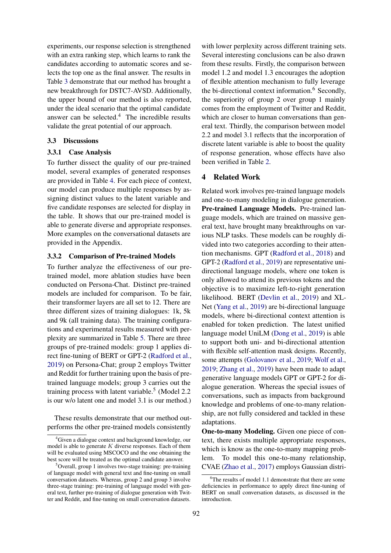experiments, our response selection is strengthened with an extra ranking step, which learns to rank the candidates according to automatic scores and selects the top one as the final answer. The results in Table [3](#page-5-2) demonstrate that our method has brought a new breakthrough for DSTC7-AVSD. Additionally, the upper bound of our method is also reported, under the ideal scenario that the optimal candidate answer can be selected. $4$  The incredible results validate the great potential of our approach.

## 3.3 Discussions

### 3.3.1 Case Analysis

To further dissect the quality of our pre-trained model, several examples of generated responses are provided in Table [4.](#page-5-3) For each piece of context, our model can produce multiple responses by assigning distinct values to the latent variable and five candidate responses are selected for display in the table. It shows that our pre-trained model is able to generate diverse and appropriate responses. More examples on the conversational datasets are provided in the Appendix.

# 3.3.2 Comparison of Pre-trained Models

To further analyze the effectiveness of our pretrained model, more ablation studies have been conducted on Persona-Chat. Distinct pre-trained models are included for comparison. To be fair, their transformer layers are all set to 12. There are three different sizes of training dialogues: 1k, 5k and 9k (all training data). The training configurations and experimental results measured with perplexity are summarized in Table [5.](#page-6-0) There are three groups of pre-trained models: group 1 applies direct fine-tuning of BERT or GPT-2 [\(Radford et al.,](#page-9-18) [2019\)](#page-9-18) on Persona-Chat; group 2 employs Twitter and Reddit for further training upon the basis of pretrained language models; group 3 carries out the training process with latent variable.<sup>5</sup> (Model 2.2 is our w/o latent one and model 3.1 is our method.)

These results demonstrate that our method outperforms the other pre-trained models consistently

with lower perplexity across different training sets. Several interesting conclusions can be also drawn from these results. Firstly, the comparison between model 1.2 and model 1.3 encourages the adoption of flexible attention mechanism to fully leverage the bi-directional context information.<sup>6</sup> Secondly, the superiority of group 2 over group 1 mainly comes from the employment of Twitter and Reddit, which are closer to human conversations than general text. Thirdly, the comparison between model 2.2 and model 3.1 reflects that the incorporation of discrete latent variable is able to boost the quality of response generation, whose effects have also been verified in Table [2.](#page-5-1)

# 4 Related Work

Related work involves pre-trained language models and one-to-many modeling in dialogue generation. Pre-trained Language Models. Pre-trained language models, which are trained on massive general text, have brought many breakthroughs on various NLP tasks. These models can be roughly divided into two categories according to their attention mechanisms. GPT [\(Radford et al.,](#page-9-12) [2018\)](#page-9-12) and GPT-2 [\(Radford et al.,](#page-9-18) [2019\)](#page-9-18) are representative unidirectional language models, where one token is only allowed to attend its previous tokens and the objective is to maximize left-to-right generation likelihood. BERT [\(Devlin et al.,](#page-8-0) [2019\)](#page-8-0) and XL-Net [\(Yang et al.,](#page-9-0) [2019\)](#page-9-0) are bi-directional language models, where bi-directional context attention is enabled for token prediction. The latest unified language model UniLM [\(Dong et al.,](#page-8-1) [2019\)](#page-8-1) is able to support both uni- and bi-directional attention with flexible self-attention mask designs. Recently, some attempts [\(Golovanov et al.,](#page-9-11) [2019;](#page-9-11) [Wolf et al.,](#page-9-2) [2019;](#page-9-2) [Zhang et al.,](#page-10-3) [2019\)](#page-10-3) have been made to adapt generative language models GPT or GPT-2 for dialogue generation. Whereas the special issues of conversations, such as impacts from background knowledge and problems of one-to-many relationship, are not fully considered and tackled in these adaptations.

One-to-many Modeling. Given one piece of context, there exists multiple appropriate responses, which is know as the one-to-many mapping problem. To model this one-to-many relationship, CVAE [\(Zhao et al.,](#page-10-1) [2017\)](#page-10-1) employs Gaussian distri-

<sup>&</sup>lt;sup>4</sup>Given a dialogue context and background knowledge, our model is able to generate  $K$  diverse responses. Each of them will be evaluated using MSCOCO and the one obtaining the best score will be treated as the optimal candidate answer.

<sup>&</sup>lt;sup>5</sup>Overall, group 1 involves two-stage training: pre-training of language model with general text and fine-tuning on small conversation datasets. Whereas, group 2 and group 3 involve three-stage training: pre-training of language model with general text, further pre-training of dialogue generation with Twitter and Reddit, and fine-tuning on small conversation datasets.

<sup>&</sup>lt;sup>6</sup>The results of model 1.1 demonstrate that there are some deficiencies in performance to apply direct fine-tuning of BERT on small conversation datasets, as discussed in the introduction.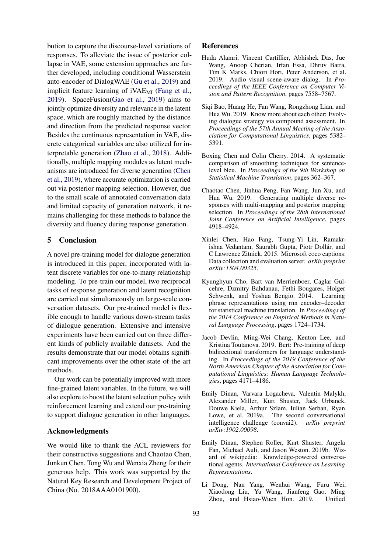bution to capture the discourse-level variations of responses. To alleviate the issue of posterior collapse in VAE, some extension approaches are further developed, including conditional Wasserstein auto-encoder of DialogWAE [\(Gu et al.,](#page-9-19) [2019\)](#page-9-19) and implicit feature learning of  $iVAE<sub>MI</sub>$  [\(Fang et al.,](#page-9-13) [2019\)](#page-9-13). SpaceFusion[\(Gao et al.,](#page-9-20) [2019\)](#page-9-20) aims to jointly optimize diversity and relevance in the latent space, which are roughly matched by the distance and direction from the predicted response vector. Besides the continuous representation in VAE, discrete categorical variables are also utilized for interpretable generation [\(Zhao et al.,](#page-10-4) [2018\)](#page-10-4). Additionally, multiple mapping modules as latent mechanisms are introduced for diverse generation [\(Chen](#page-8-2) [et al.,](#page-8-2) [2019\)](#page-8-2), where accurate optimization is carried out via posterior mapping selection. However, due to the small scale of annotated conversation data and limited capacity of generation network, it remains challenging for these methods to balance the diversity and fluency during response generation.

# 5 Conclusion

A novel pre-training model for dialogue generation is introduced in this paper, incorporated with latent discrete variables for one-to-many relationship modeling. To pre-train our model, two reciprocal tasks of response generation and latent recognition are carried out simultaneously on large-scale conversation datasets. Our pre-trained model is flexible enough to handle various down-stream tasks of dialogue generation. Extensive and intensive experiments have been carried out on three different kinds of publicly available datasets. And the results demonstrate that our model obtains significant improvements over the other state-of-the-art methods.

Our work can be potentially improved with more fine-grained latent variables. In the future, we will also explore to boost the latent selection policy with reinforcement learning and extend our pre-training to support dialogue generation in other languages.

### Acknowledgments

We would like to thank the ACL reviewers for their constructive suggestions and Chaotao Chen, Junkun Chen, Tong Wu and Wenxia Zheng for their generous help. This work was supported by the Natural Key Research and Development Project of China (No. 2018AAA0101900).

## References

- <span id="page-8-5"></span>Huda Alamri, Vincent Cartillier, Abhishek Das, Jue Wang, Anoop Cherian, Irfan Essa, Dhruv Batra, Tim K Marks, Chiori Hori, Peter Anderson, et al. 2019. Audio visual scene-aware dialog. In *Proceedings of the IEEE Conference on Computer Vision and Pattern Recognition*, pages 7558–7567.
- <span id="page-8-4"></span>Siqi Bao, Huang He, Fan Wang, Rongzhong Lian, and Hua Wu. 2019. Know more about each other: Evolving dialogue strategy via compound assessment. In *Proceedings of the 57th Annual Meeting of the Association for Computational Linguistics*, pages 5382– 5391.
- <span id="page-8-7"></span>Boxing Chen and Colin Cherry. 2014. A systematic comparison of smoothing techniques for sentencelevel bleu. In *Proceedings of the 9th Workshop on Statistical Machine Translation*, pages 362–367.
- <span id="page-8-2"></span>Chaotao Chen, Jinhua Peng, Fan Wang, Jun Xu, and Hua Wu. 2019. Generating multiple diverse responses with multi-mapping and posterior mapping selection. In *Proceedings of the 28th International Joint Conference on Artificial Intelligence*, pages 4918–4924.
- <span id="page-8-9"></span>Xinlei Chen, Hao Fang, Tsung-Yi Lin, Ramakrishna Vedantam, Saurabh Gupta, Piotr Dollár, and C Lawrence Zitnick. 2015. Microsoft coco captions: Data collection and evaluation server. *arXiv preprint arXiv:1504.00325*.
- <span id="page-8-3"></span>Kyunghyun Cho, Bart van Merrienboer, Caglar Gulcehre, Dzmitry Bahdanau, Fethi Bougares, Holger Schwenk, and Yoshua Bengio. 2014. Learning phrase representations using rnn encoder–decoder for statistical machine translation. In *Proceedings of the 2014 Conference on Empirical Methods in Natural Language Processing*, pages 1724–1734.
- <span id="page-8-0"></span>Jacob Devlin, Ming-Wei Chang, Kenton Lee, and Kristina Toutanova. 2019. Bert: Pre-training of deep bidirectional transformers for language understanding. In *Proceedings of the 2019 Conference of the North American Chapter of the Association for Computational Linguistics: Human Language Technologies*, pages 4171–4186.
- <span id="page-8-6"></span>Emily Dinan, Varvara Logacheva, Valentin Malykh, Alexander Miller, Kurt Shuster, Jack Urbanek, Douwe Kiela, Arthur Szlam, Iulian Serban, Ryan Lowe, et al. 2019a. The second conversational intelligence challenge (convai2). *arXiv preprint arXiv:1902.00098*.
- <span id="page-8-8"></span>Emily Dinan, Stephen Roller, Kurt Shuster, Angela Fan, Michael Auli, and Jason Weston. 2019b. Wizard of wikipedia: Knowledge-powered conversational agents. *International Conference on Learning Representations*.
- <span id="page-8-1"></span>Li Dong, Nan Yang, Wenhui Wang, Furu Wei, Xiaodong Liu, Yu Wang, Jianfeng Gao, Ming Zhou, and Hsiao-Wuen Hon. 2019. Unified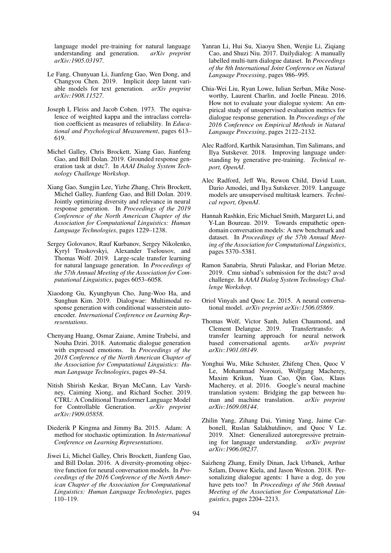language model pre-training for natural language understanding and generation. *arXiv preprint arXiv:1905.03197*.

- <span id="page-9-13"></span>Le Fang, Chunyuan Li, Jianfeng Gao, Wen Dong, and Changyou Chen. 2019. Implicit deep latent variable models for text generation. *arXiv preprint arXiv:1908.11527*.
- <span id="page-9-16"></span>Joseph L Fleiss and Jacob Cohen. 1973. The equivalence of weighted kappa and the intraclass correlation coefficient as measures of reliability. In *Educational and Psychological Measurement*, pages 613– 619.
- <span id="page-9-6"></span>Michel Galley, Chris Brockett, Xiang Gao, Jianfeng Gao, and Bill Dolan. 2019. Grounded response generation task at dstc7. In *AAAI Dialog System Technology Challenge Workshop*.
- <span id="page-9-20"></span>Xiang Gao, Sungjin Lee, Yizhe Zhang, Chris Brockett, Michel Galley, Jianfeng Gao, and Bill Dolan. 2019. Jointly optimizing diversity and relevance in neural response generation. In *Proceedings of the 2019 Conference of the North American Chapter of the Association for Computational Linguistics: Human Language Technologies*, pages 1229–1238.
- <span id="page-9-11"></span>Sergey Golovanov, Rauf Kurbanov, Sergey Nikolenko, Kyryl Truskovskyi, Alexander Tselousov, and Thomas Wolf. 2019. Large-scale transfer learning for natural language generation. In *Proceedings of the 57th Annual Meeting of the Association for Computational Linguistics*, pages 6053–6058.
- <span id="page-9-19"></span>Xiaodong Gu, Kyunghyun Cho, Jung-Woo Ha, and Sunghun Kim. 2019. Dialogwae: Multimodal response generation with conditional wasserstein autoencoder. *International Conference on Learning Representations*.
- <span id="page-9-3"></span>Chenyang Huang, Osmar Zaiane, Amine Trabelsi, and Nouha Dziri. 2018. Automatic dialogue generation with expressed emotions. In *Proceedings of the 2018 Conference of the North American Chapter of the Association for Computational Linguistics: Human Language Technologies*, pages 49–54.
- <span id="page-9-4"></span>Nitish Shirish Keskar, Bryan McCann, Lav Varshney, Caiming Xiong, and Richard Socher. 2019. CTRL: A Conditional Transformer Language Model for Controllable Generation. *arXiv preprint arXiv:1909.05858*.
- <span id="page-9-7"></span>Diederik P Kingma and Jimmy Ba. 2015. Adam: A method for stochastic optimization. In *International Conference on Learning Representations*.
- <span id="page-9-15"></span>Jiwei Li, Michel Galley, Chris Brockett, Jianfeng Gao, and Bill Dolan. 2016. A diversity-promoting objective function for neural conversation models. In *Proceedings of the 2016 Conference of the North American Chapter of the Association for Computational Linguistics: Human Language Technologies*, pages 110–119.
- <span id="page-9-9"></span>Yanran Li, Hui Su, Xiaoyu Shen, Wenjie Li, Ziqiang Cao, and Shuzi Niu. 2017. Dailydialog: A manually labelled multi-turn dialogue dataset. In *Proceedings of the 8th International Joint Conference on Natural Language Processing*, pages 986–995.
- <span id="page-9-17"></span>Chia-Wei Liu, Ryan Lowe, Iulian Serban, Mike Noseworthy, Laurent Charlin, and Joelle Pineau. 2016. How not to evaluate your dialogue system: An empirical study of unsupervised evaluation metrics for dialogue response generation. In *Proceedings of the 2016 Conference on Empirical Methods in Natural Language Processing*, pages 2122–2132.
- <span id="page-9-12"></span>Alec Radford, Karthik Narasimhan, Tim Salimans, and Ilya Sutskever. 2018. Improving language understanding by generative pre-training. *Technical report, OpenAI*.
- <span id="page-9-18"></span>Alec Radford, Jeff Wu, Rewon Child, David Luan, Dario Amodei, and Ilya Sutskever. 2019. Language models are unsupervised multitask learners. *Technical report, OpenAI*.
- <span id="page-9-1"></span>Hannah Rashkin, Eric Michael Smith, Margaret Li, and Y-Lan Boureau. 2019. Towards empathetic opendomain conversation models: A new benchmark and dataset. In *Proceedings of the 57th Annual Meeting of the Association for Computational Linguistics*, pages 5370–5381.
- <span id="page-9-14"></span>Ramon Sanabria, Shruti Palaskar, and Florian Metze. 2019. Cmu sinbad's submission for the dstc7 avsd challenge. In *AAAI Dialog System Technology Challenge Workshop*.
- <span id="page-9-10"></span>Oriol Vinyals and Quoc Le. 2015. A neural conversational model. *arXiv preprint arXiv:1506.05869*.
- <span id="page-9-2"></span>Thomas Wolf, Victor Sanh, Julien Chaumond, and Clement Delangue. 2019. transfer learning approach for neural network based conversational agents. *arXiv preprint arXiv:1901.08149*.
- <span id="page-9-5"></span>Yonghui Wu, Mike Schuster, Zhifeng Chen, Quoc V Le, Mohammad Norouzi, Wolfgang Macherey, Maxim Krikun, Yuan Cao, Qin Gao, Klaus Macherey, et al. 2016. Google's neural machine translation system: Bridging the gap between human and machine translation. *arXiv preprint arXiv:1609.08144*.
- <span id="page-9-0"></span>Zhilin Yang, Zihang Dai, Yiming Yang, Jaime Carbonell, Ruslan Salakhutdinov, and Quoc V Le. 2019. Xlnet: Generalized autoregressive pretraining for language understanding. *arXiv preprint arXiv:1906.08237*.
- <span id="page-9-8"></span>Saizheng Zhang, Emily Dinan, Jack Urbanek, Arthur Szlam, Douwe Kiela, and Jason Weston. 2018. Personalizing dialogue agents: I have a dog, do you have pets too? In *Proceedings of the 56th Annual Meeting of the Association for Computational Linguistics*, pages 2204–2213.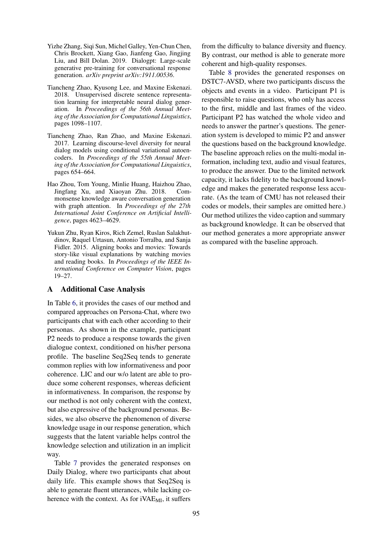- <span id="page-10-3"></span>Yizhe Zhang, Siqi Sun, Michel Galley, Yen-Chun Chen, Chris Brockett, Xiang Gao, Jianfeng Gao, Jingjing Liu, and Bill Dolan. 2019. Dialogpt: Large-scale generative pre-training for conversational response generation. *arXiv preprint arXiv:1911.00536*.
- <span id="page-10-4"></span>Tiancheng Zhao, Kyusong Lee, and Maxine Eskenazi. 2018. Unsupervised discrete sentence representation learning for interpretable neural dialog generation. In *Proceedings of the 56th Annual Meeting of the Association for Computational Linguistics*, pages 1098–1107.
- <span id="page-10-1"></span>Tiancheng Zhao, Ran Zhao, and Maxine Eskenazi. 2017. Learning discourse-level diversity for neural dialog models using conditional variational autoencoders. In *Proceedings of the 55th Annual Meeting of the Association for Computational Linguistics*, pages 654–664.
- <span id="page-10-2"></span>Hao Zhou, Tom Young, Minlie Huang, Haizhou Zhao, Jingfang Xu, and Xiaoyan Zhu. 2018. Commonsense knowledge aware conversation generation with graph attention. In *Proceedings of the 27th International Joint Conference on Artificial Intelligence*, pages 4623–4629.
- <span id="page-10-0"></span>Yukun Zhu, Ryan Kiros, Rich Zemel, Ruslan Salakhutdinov, Raquel Urtasun, Antonio Torralba, and Sanja Fidler. 2015. Aligning books and movies: Towards story-like visual explanations by watching movies and reading books. In *Proceedings of the IEEE International Conference on Computer Vision*, pages 19–27.

# A Additional Case Analysis

In Table [6,](#page-11-0) it provides the cases of our method and compared approaches on Persona-Chat, where two participants chat with each other according to their personas. As shown in the example, participant P2 needs to produce a response towards the given dialogue context, conditioned on his/her persona profile. The baseline Seq2Seq tends to generate common replies with low informativeness and poor coherence. LIC and our w/o latent are able to produce some coherent responses, whereas deficient in informativeness. In comparison, the response by our method is not only coherent with the context, but also expressive of the background personas. Besides, we also observe the phenomenon of diverse knowledge usage in our response generation, which suggests that the latent variable helps control the knowledge selection and utilization in an implicit way.

Table [7](#page-11-1) provides the generated responses on Daily Dialog, where two participants chat about daily life. This example shows that Seq2Seq is able to generate fluent utterances, while lacking coherence with the context. As for  $iVAE<sub>MI</sub>$ , it suffers

from the difficulty to balance diversity and fluency. By contrast, our method is able to generate more coherent and high-quality responses.

Table [8](#page-11-2) provides the generated responses on DSTC7-AVSD, where two participants discuss the objects and events in a video. Participant P1 is responsible to raise questions, who only has access to the first, middle and last frames of the video. Participant P2 has watched the whole video and needs to answer the partner's questions. The generation system is developed to mimic P2 and answer the questions based on the background knowledge. The baseline approach relies on the multi-modal information, including text, audio and visual features, to produce the answer. Due to the limited network capacity, it lacks fidelity to the background knowledge and makes the generated response less accurate. (As the team of CMU has not released their codes or models, their samples are omitted here.) Our method utilizes the video caption and summary as background knowledge. It can be observed that our method generates a more appropriate answer as compared with the baseline approach.